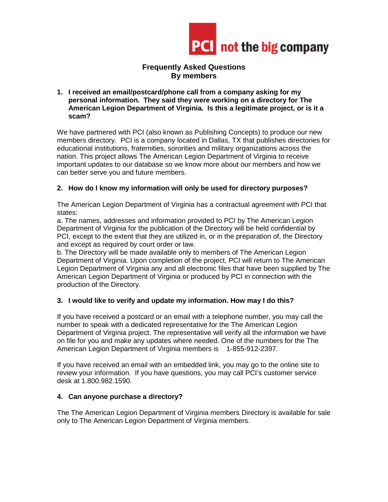

## **Frequently Asked Questions By members**

**1. I received an email/postcard/phone call from a company asking for my personal information. They said they were working on a directory for The American Legion Department of Virginia. Is this a legitimate project, or is it a scam?**

We have partnered with PCI (also known as Publishing Concepts) to produce our new members directory. PCI is a company located in Dallas, TX that publishes directories for educational institutions, fraternities, sororities and military organizations across the nation. This project allows The American Legion Department of Virginia to receive important updates to our database so we know more about our members and how we can better serve you and future members.

# **2. How do I know my information will only be used for directory purposes?**

The American Legion Department of Virginia has a contractual agreement with PCI that states:

a. The names, addresses and information provided to PCI by The American Legion Department of Virginia for the publication of the Directory will be held confidential by PCI, except to the extent that they are utilized in, or in the preparation of, the Directory and except as required by court order or law.

b. The Directory will be made available only to members of The American Legion Department of Virginia. Upon completion of the project, PCI will return to The American Legion Department of Virginia any and all electronic files that have been supplied by The American Legion Department of Virginia or produced by PCI in connection with the production of the Directory.

## **3. I would like to verify and update my information. How may I do this?**

If you have received a postcard or an email with a telephone number, you may call the number to speak with a dedicated representative for the The American Legion Department of Virginia project. The representative will verify all the information we have on file for you and make any updates where needed. One of the numbers for the The American Legion Department of Virginia members is 1-855-912-2397.

If you have received an email with an embedded link, you may go to the online site to review your information. If you have questions, you may call PCI's customer service desk at 1.800.982.1590.

### **4. Can anyone purchase a directory?**

The The American Legion Department of Virginia members Directory is available for sale only to The American Legion Department of Virginia members.